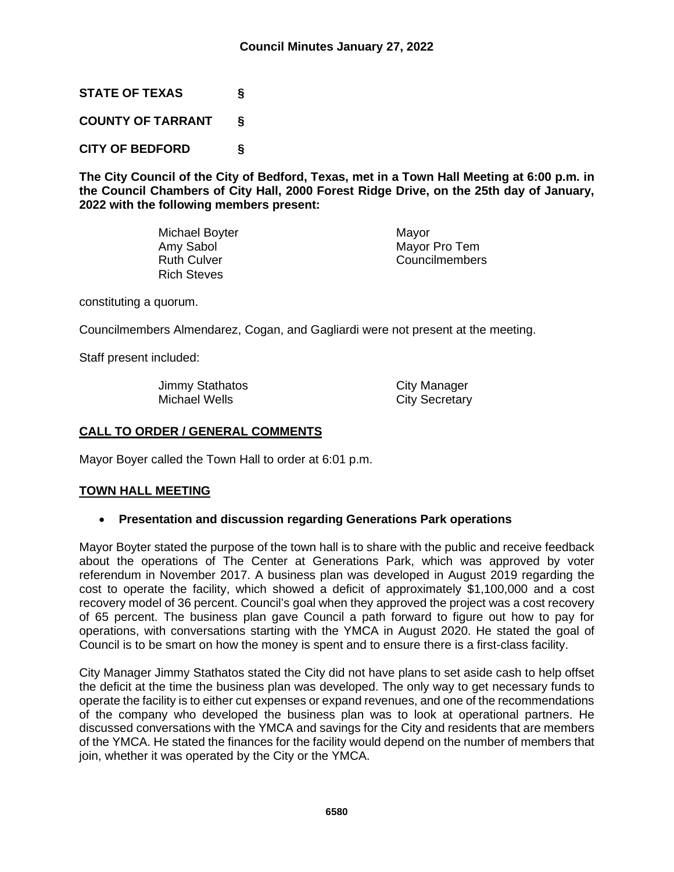**STATE OF TEXAS §**

**COUNTY OF TARRANT §**

**CITY OF BEDFORD §**

**The City Council of the City of Bedford, Texas, met in a Town Hall Meeting at 6:00 p.m. in the Council Chambers of City Hall, 2000 Forest Ridge Drive, on the 25th day of January, 2022 with the following members present:**

> Michael Boyter **Michael Boyter** Mayor Amy Sabol Mayor Pro Tem Ruth Culver **Councilmembers** Rich Steves

constituting a quorum.

Councilmembers Almendarez, Cogan, and Gagliardi were not present at the meeting.

Staff present included:

Jimmy Stathatos City Manager<br>
Michael Wells City Secretary

**City Secretary** 

# **CALL TO ORDER / GENERAL COMMENTS**

Mayor Boyer called the Town Hall to order at 6:01 p.m.

### **TOWN HALL MEETING**

### • **Presentation and discussion regarding Generations Park operations**

Mayor Boyter stated the purpose of the town hall is to share with the public and receive feedback about the operations of The Center at Generations Park, which was approved by voter referendum in November 2017. A business plan was developed in August 2019 regarding the cost to operate the facility, which showed a deficit of approximately \$1,100,000 and a cost recovery model of 36 percent. Council's goal when they approved the project was a cost recovery of 65 percent. The business plan gave Council a path forward to figure out how to pay for operations, with conversations starting with the YMCA in August 2020. He stated the goal of Council is to be smart on how the money is spent and to ensure there is a first-class facility.

City Manager Jimmy Stathatos stated the City did not have plans to set aside cash to help offset the deficit at the time the business plan was developed. The only way to get necessary funds to operate the facility is to either cut expenses or expand revenues, and one of the recommendations of the company who developed the business plan was to look at operational partners. He discussed conversations with the YMCA and savings for the City and residents that are members of the YMCA. He stated the finances for the facility would depend on the number of members that join, whether it was operated by the City or the YMCA.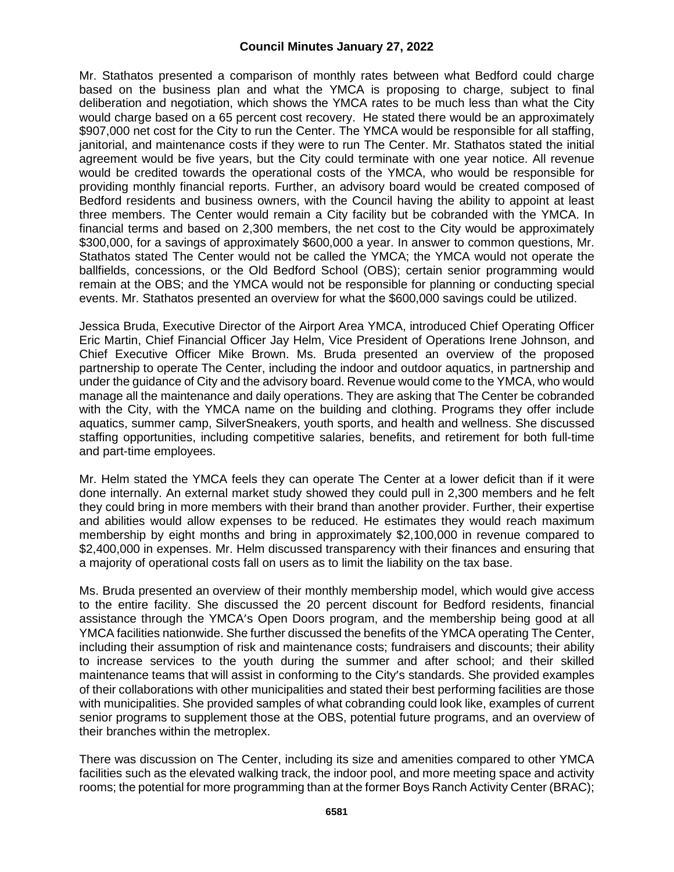Mr. Stathatos presented a comparison of monthly rates between what Bedford could charge based on the business plan and what the YMCA is proposing to charge, subject to final deliberation and negotiation, which shows the YMCA rates to be much less than what the City would charge based on a 65 percent cost recovery. He stated there would be an approximately \$907,000 net cost for the City to run the Center. The YMCA would be responsible for all staffing, janitorial, and maintenance costs if they were to run The Center. Mr. Stathatos stated the initial agreement would be five years, but the City could terminate with one year notice. All revenue would be credited towards the operational costs of the YMCA, who would be responsible for providing monthly financial reports. Further, an advisory board would be created composed of Bedford residents and business owners, with the Council having the ability to appoint at least three members. The Center would remain a City facility but be cobranded with the YMCA. In financial terms and based on 2,300 members, the net cost to the City would be approximately \$300,000, for a savings of approximately \$600,000 a year. In answer to common questions, Mr. Stathatos stated The Center would not be called the YMCA; the YMCA would not operate the ballfields, concessions, or the Old Bedford School (OBS); certain senior programming would remain at the OBS; and the YMCA would not be responsible for planning or conducting special events. Mr. Stathatos presented an overview for what the \$600,000 savings could be utilized.

Jessica Bruda, Executive Director of the Airport Area YMCA, introduced Chief Operating Officer Eric Martin, Chief Financial Officer Jay Helm, Vice President of Operations Irene Johnson, and Chief Executive Officer Mike Brown. Ms. Bruda presented an overview of the proposed partnership to operate The Center, including the indoor and outdoor aquatics, in partnership and under the guidance of City and the advisory board. Revenue would come to the YMCA, who would manage all the maintenance and daily operations. They are asking that The Center be cobranded with the City, with the YMCA name on the building and clothing. Programs they offer include aquatics, summer camp, SilverSneakers, youth sports, and health and wellness. She discussed staffing opportunities, including competitive salaries, benefits, and retirement for both full-time and part-time employees.

Mr. Helm stated the YMCA feels they can operate The Center at a lower deficit than if it were done internally. An external market study showed they could pull in 2,300 members and he felt they could bring in more members with their brand than another provider. Further, their expertise and abilities would allow expenses to be reduced. He estimates they would reach maximum membership by eight months and bring in approximately \$2,100,000 in revenue compared to \$2,400,000 in expenses. Mr. Helm discussed transparency with their finances and ensuring that a majority of operational costs fall on users as to limit the liability on the tax base.

Ms. Bruda presented an overview of their monthly membership model, which would give access to the entire facility. She discussed the 20 percent discount for Bedford residents, financial assistance through the YMCA's Open Doors program, and the membership being good at all YMCA facilities nationwide. She further discussed the benefits of the YMCA operating The Center, including their assumption of risk and maintenance costs; fundraisers and discounts; their ability to increase services to the youth during the summer and after school; and their skilled maintenance teams that will assist in conforming to the City's standards. She provided examples of their collaborations with other municipalities and stated their best performing facilities are those with municipalities. She provided samples of what cobranding could look like, examples of current senior programs to supplement those at the OBS, potential future programs, and an overview of their branches within the metroplex.

There was discussion on The Center, including its size and amenities compared to other YMCA facilities such as the elevated walking track, the indoor pool, and more meeting space and activity rooms; the potential for more programming than at the former Boys Ranch Activity Center (BRAC);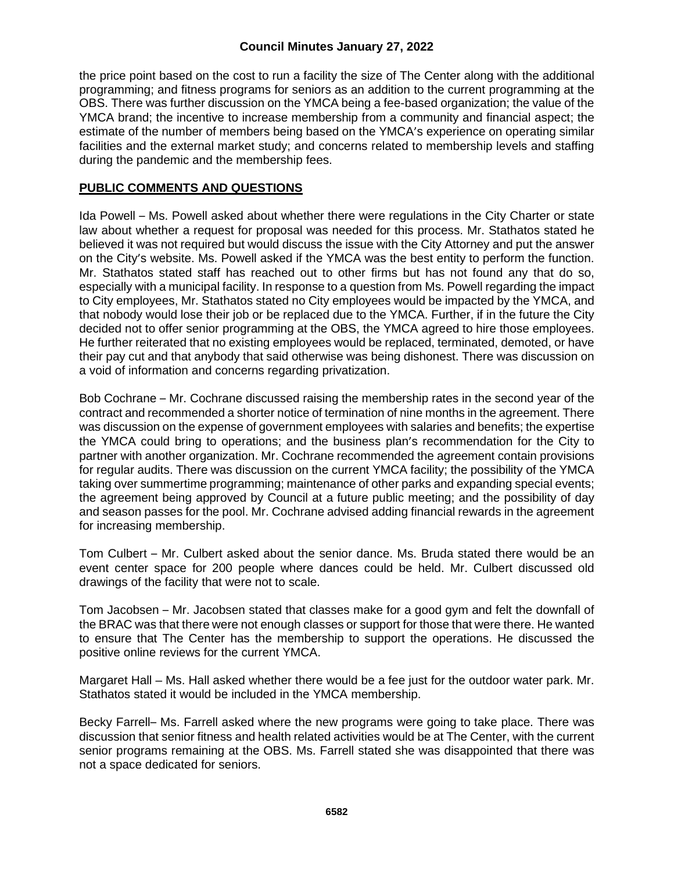# **Council Minutes January 27, 2022**

the price point based on the cost to run a facility the size of The Center along with the additional programming; and fitness programs for seniors as an addition to the current programming at the OBS. There was further discussion on the YMCA being a fee-based organization; the value of the YMCA brand; the incentive to increase membership from a community and financial aspect; the estimate of the number of members being based on the YMCA's experience on operating similar facilities and the external market study; and concerns related to membership levels and staffing during the pandemic and the membership fees.

## **PUBLIC COMMENTS AND QUESTIONS**

Ida Powell – Ms. Powell asked about whether there were regulations in the City Charter or state law about whether a request for proposal was needed for this process. Mr. Stathatos stated he believed it was not required but would discuss the issue with the City Attorney and put the answer on the City's website. Ms. Powell asked if the YMCA was the best entity to perform the function. Mr. Stathatos stated staff has reached out to other firms but has not found any that do so, especially with a municipal facility. In response to a question from Ms. Powell regarding the impact to City employees, Mr. Stathatos stated no City employees would be impacted by the YMCA, and that nobody would lose their job or be replaced due to the YMCA. Further, if in the future the City decided not to offer senior programming at the OBS, the YMCA agreed to hire those employees. He further reiterated that no existing employees would be replaced, terminated, demoted, or have their pay cut and that anybody that said otherwise was being dishonest. There was discussion on a void of information and concerns regarding privatization.

Bob Cochrane – Mr. Cochrane discussed raising the membership rates in the second year of the contract and recommended a shorter notice of termination of nine months in the agreement. There was discussion on the expense of government employees with salaries and benefits; the expertise the YMCA could bring to operations; and the business plan's recommendation for the City to partner with another organization. Mr. Cochrane recommended the agreement contain provisions for regular audits. There was discussion on the current YMCA facility; the possibility of the YMCA taking over summertime programming; maintenance of other parks and expanding special events; the agreement being approved by Council at a future public meeting; and the possibility of day and season passes for the pool. Mr. Cochrane advised adding financial rewards in the agreement for increasing membership.

Tom Culbert – Mr. Culbert asked about the senior dance. Ms. Bruda stated there would be an event center space for 200 people where dances could be held. Mr. Culbert discussed old drawings of the facility that were not to scale.

Tom Jacobsen – Mr. Jacobsen stated that classes make for a good gym and felt the downfall of the BRAC was that there were not enough classes or support for those that were there. He wanted to ensure that The Center has the membership to support the operations. He discussed the positive online reviews for the current YMCA.

Margaret Hall – Ms. Hall asked whether there would be a fee just for the outdoor water park. Mr. Stathatos stated it would be included in the YMCA membership.

Becky Farrell– Ms. Farrell asked where the new programs were going to take place. There was discussion that senior fitness and health related activities would be at The Center, with the current senior programs remaining at the OBS. Ms. Farrell stated she was disappointed that there was not a space dedicated for seniors.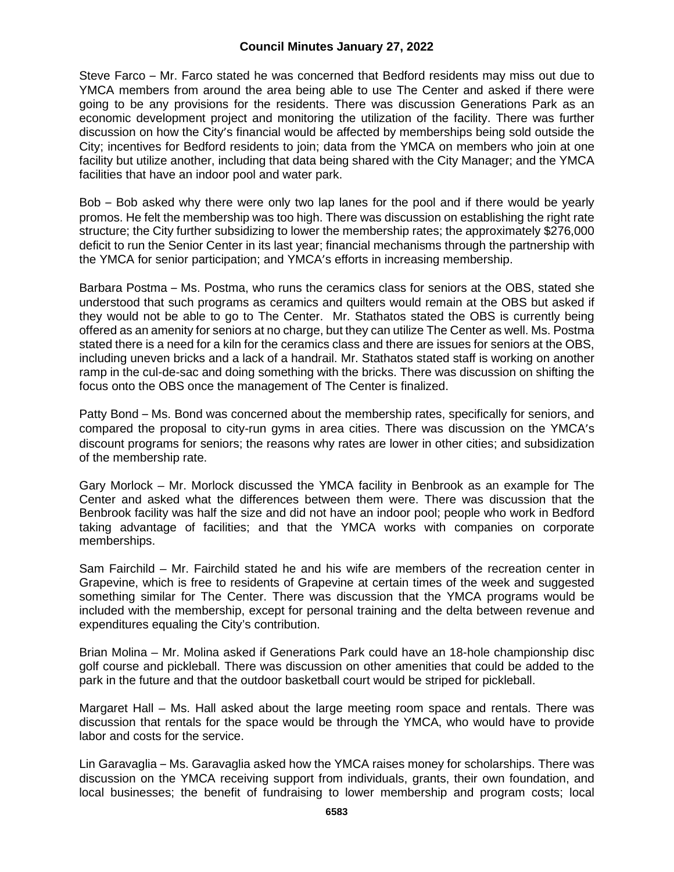### **Council Minutes January 27, 2022**

Steve Farco – Mr. Farco stated he was concerned that Bedford residents may miss out due to YMCA members from around the area being able to use The Center and asked if there were going to be any provisions for the residents. There was discussion Generations Park as an economic development project and monitoring the utilization of the facility. There was further discussion on how the City's financial would be affected by memberships being sold outside the City; incentives for Bedford residents to join; data from the YMCA on members who join at one facility but utilize another, including that data being shared with the City Manager; and the YMCA facilities that have an indoor pool and water park.

Bob – Bob asked why there were only two lap lanes for the pool and if there would be yearly promos. He felt the membership was too high. There was discussion on establishing the right rate structure; the City further subsidizing to lower the membership rates; the approximately \$276,000 deficit to run the Senior Center in its last year; financial mechanisms through the partnership with the YMCA for senior participation; and YMCA's efforts in increasing membership.

Barbara Postma – Ms. Postma, who runs the ceramics class for seniors at the OBS, stated she understood that such programs as ceramics and quilters would remain at the OBS but asked if they would not be able to go to The Center. Mr. Stathatos stated the OBS is currently being offered as an amenity for seniors at no charge, but they can utilize The Center as well. Ms. Postma stated there is a need for a kiln for the ceramics class and there are issues for seniors at the OBS, including uneven bricks and a lack of a handrail. Mr. Stathatos stated staff is working on another ramp in the cul-de-sac and doing something with the bricks. There was discussion on shifting the focus onto the OBS once the management of The Center is finalized.

Patty Bond – Ms. Bond was concerned about the membership rates, specifically for seniors, and compared the proposal to city-run gyms in area cities. There was discussion on the YMCA's discount programs for seniors; the reasons why rates are lower in other cities; and subsidization of the membership rate.

Gary Morlock – Mr. Morlock discussed the YMCA facility in Benbrook as an example for The Center and asked what the differences between them were. There was discussion that the Benbrook facility was half the size and did not have an indoor pool; people who work in Bedford taking advantage of facilities; and that the YMCA works with companies on corporate memberships.

Sam Fairchild – Mr. Fairchild stated he and his wife are members of the recreation center in Grapevine, which is free to residents of Grapevine at certain times of the week and suggested something similar for The Center. There was discussion that the YMCA programs would be included with the membership, except for personal training and the delta between revenue and expenditures equaling the City's contribution.

Brian Molina – Mr. Molina asked if Generations Park could have an 18-hole championship disc golf course and pickleball. There was discussion on other amenities that could be added to the park in the future and that the outdoor basketball court would be striped for pickleball.

Margaret Hall – Ms. Hall asked about the large meeting room space and rentals. There was discussion that rentals for the space would be through the YMCA, who would have to provide labor and costs for the service.

Lin Garavaglia – Ms. Garavaglia asked how the YMCA raises money for scholarships. There was discussion on the YMCA receiving support from individuals, grants, their own foundation, and local businesses; the benefit of fundraising to lower membership and program costs; local